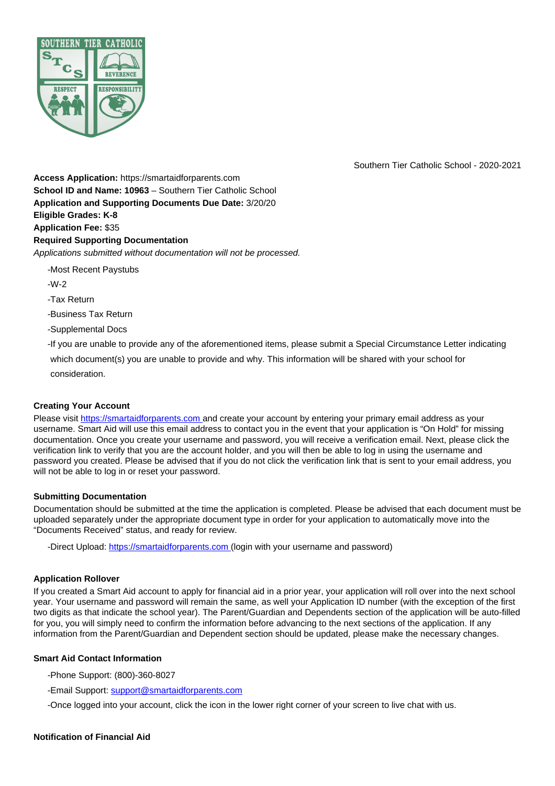

Southern Tier Catholic School - 2020-2021

**Access Application:** https://smartaidforparents.com **School ID and Name: 10963** – Southern Tier Catholic School **Application and Supporting Documents Due Date:** 3/20/20 **Eligible Grades: K-8 Application Fee:** \$35 **Required Supporting Documentation** Applications submitted without documentation will not be processed.

-Most Recent Paystubs

-W-2

-Tax Return

-Business Tax Return

-Supplemental Docs

-If you are unable to provide any of the aforementioned items, please submit a Special Circumstance Letter indicating

which document(s) you are unable to provide and why. This information will be shared with your school for consideration.

### **Creating Your Account**

Please visit https://smartaidforparents.com and create your account by entering your primary email address as your username. Smart Aid will use this email address to contact you in the event that your application is "On Hold" for missing documentation. Once you create your username and password, you will receive a verification email. Next, please click the verification link to verify that you are the account holder, and you will then be able to log in using the username and password you created. Please be advised that if you do not click the verification link that is sent to your email address, you will not be able to log in or reset your password.

### **Submitting Documentation**

Documentation should be submitted at the time the application is completed. Please be advised that each document must be uploaded separately under the appropriate document type in order for your application to automatically move into the "Documents Received" status, and ready for review.

-Direct Upload: https://smartaidforparents.com (login with your username and password)

### **Application Rollover**

If you created a Smart Aid account to apply for financial aid in a prior year, your application will roll over into the next school year. Your username and password will remain the same, as well your Application ID number (with the exception of the first two digits as that indicate the school year). The Parent/Guardian and Dependents section of the application will be auto-filled for you, you will simply need to confirm the information before advancing to the next sections of the application. If any information from the Parent/Guardian and Dependent section should be updated, please make the necessary changes.

### **Smart Aid Contact Information**

-Phone Support: (800)-360-8027

-Email Support: support@smartaidforparents.com

-Once logged into your account, click the icon in the lower right corner of your screen to live chat with us.